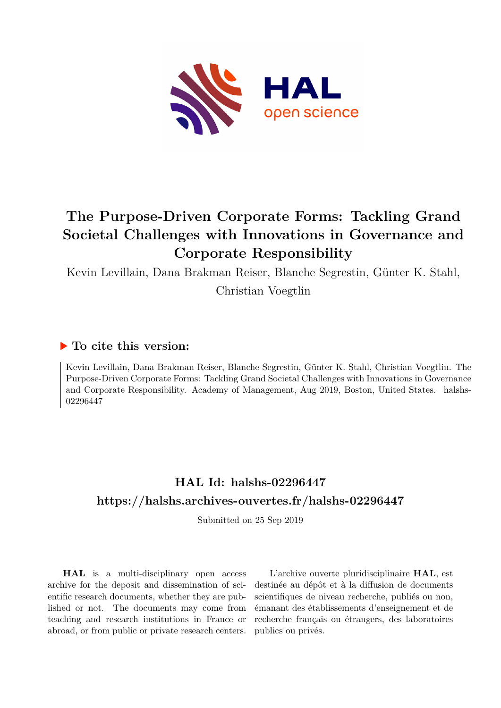

# **The Purpose-Driven Corporate Forms: Tackling Grand Societal Challenges with Innovations in Governance and Corporate Responsibility**

Kevin Levillain, Dana Brakman Reiser, Blanche Segrestin, Günter K. Stahl,

Christian Voegtlin

### **To cite this version:**

Kevin Levillain, Dana Brakman Reiser, Blanche Segrestin, Günter K. Stahl, Christian Voegtlin. The Purpose-Driven Corporate Forms: Tackling Grand Societal Challenges with Innovations in Governance and Corporate Responsibility. Academy of Management, Aug 2019, Boston, United States. halshs-02296447

# **HAL Id: halshs-02296447 <https://halshs.archives-ouvertes.fr/halshs-02296447>**

Submitted on 25 Sep 2019

**HAL** is a multi-disciplinary open access archive for the deposit and dissemination of scientific research documents, whether they are published or not. The documents may come from teaching and research institutions in France or abroad, or from public or private research centers.

L'archive ouverte pluridisciplinaire **HAL**, est destinée au dépôt et à la diffusion de documents scientifiques de niveau recherche, publiés ou non, émanant des établissements d'enseignement et de recherche français ou étrangers, des laboratoires publics ou privés.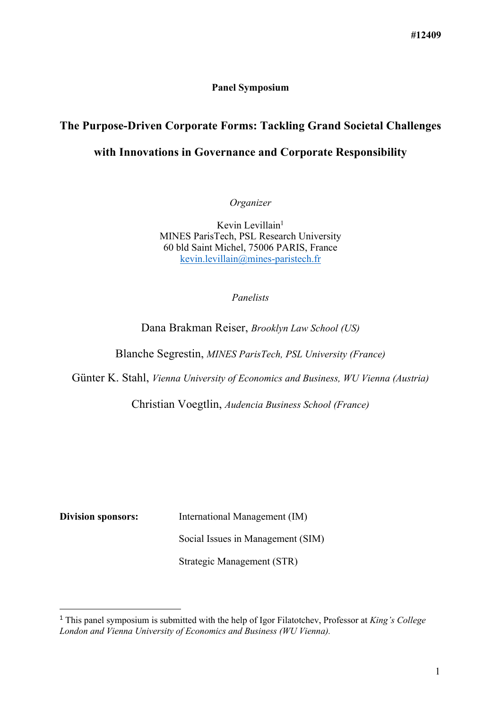#### **Panel Symposium**

# **The Purpose-Driven Corporate Forms: Tackling Grand Societal Challenges with Innovations in Governance and Corporate Responsibility**

*Organizer*

Kevin Levillain<sup>1</sup> MINES ParisTech, PSL Research University 60 bld Saint Michel, 75006 PARIS, France kevin.levillain@mines-paristech.fr

#### *Panelists*

Dana Brakman Reiser, *Brooklyn Law School (US)*

Blanche Segrestin, *MINES ParisTech, PSL University (France)*

Günter K. Stahl, *Vienna University of Economics and Business, WU Vienna (Austria)*

Christian Voegtlin, *Audencia Business School (France)*

 $\overline{a}$ 

**Division sponsors:** International Management (IM)

Social Issues in Management (SIM)

Strategic Management (STR)

<sup>1</sup> This panel symposium is submitted with the help of Igor Filatotchev, Professor at *King's College London and Vienna University of Economics and Business (WU Vienna).*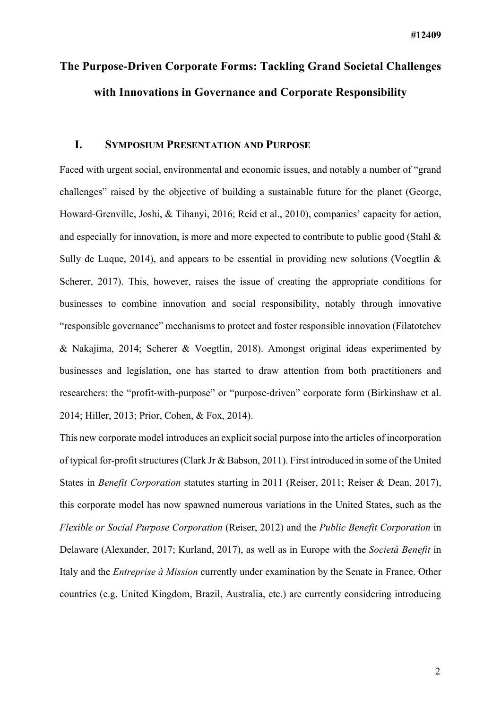# **The Purpose-Driven Corporate Forms: Tackling Grand Societal Challenges with Innovations in Governance and Corporate Responsibility**

#### **I. SYMPOSIUM PRESENTATION AND PURPOSE**

Faced with urgent social, environmental and economic issues, and notably a number of "grand challenges" raised by the objective of building a sustainable future for the planet (George, Howard-Grenville, Joshi, & Tihanyi, 2016; Reid et al., 2010), companies' capacity for action, and especially for innovation, is more and more expected to contribute to public good (Stahl & Sully de Luque, 2014), and appears to be essential in providing new solutions (Voegtlin  $\&$ Scherer, 2017). This, however, raises the issue of creating the appropriate conditions for businesses to combine innovation and social responsibility, notably through innovative "responsible governance" mechanisms to protect and foster responsible innovation (Filatotchev & Nakajima, 2014; Scherer & Voegtlin, 2018). Amongst original ideas experimented by businesses and legislation, one has started to draw attention from both practitioners and researchers: the "profit-with-purpose" or "purpose-driven" corporate form (Birkinshaw et al. 2014; Hiller, 2013; Prior, Cohen, & Fox, 2014).

This new corporate model introduces an explicit social purpose into the articles of incorporation of typical for-profit structures (Clark Jr & Babson, 2011). First introduced in some of the United States in *Benefit Corporation* statutes starting in 2011 (Reiser, 2011; Reiser & Dean, 2017), this corporate model has now spawned numerous variations in the United States, such as the *Flexible or Social Purpose Corporation* (Reiser, 2012) and the *Public Benefit Corporation* in Delaware (Alexander, 2017; Kurland, 2017), as well as in Europe with the *Società Benefit* in Italy and the *Entreprise à Mission* currently under examination by the Senate in France. Other countries (e.g. United Kingdom, Brazil, Australia, etc.) are currently considering introducing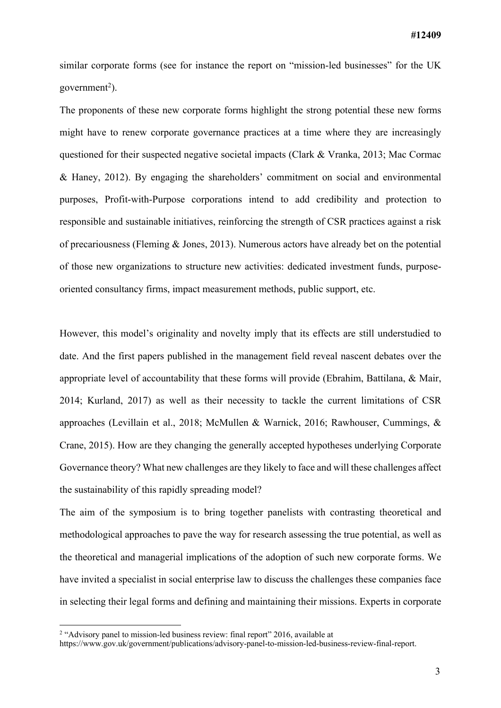similar corporate forms (see for instance the report on "mission-led businesses" for the UK government<sup>2</sup>).

The proponents of these new corporate forms highlight the strong potential these new forms might have to renew corporate governance practices at a time where they are increasingly questioned for their suspected negative societal impacts (Clark & Vranka, 2013; Mac Cormac & Haney, 2012). By engaging the shareholders' commitment on social and environmental purposes, Profit-with-Purpose corporations intend to add credibility and protection to responsible and sustainable initiatives, reinforcing the strength of CSR practices against a risk of precariousness (Fleming & Jones, 2013). Numerous actors have already bet on the potential of those new organizations to structure new activities: dedicated investment funds, purposeoriented consultancy firms, impact measurement methods, public support, etc.

However, this model's originality and novelty imply that its effects are still understudied to date. And the first papers published in the management field reveal nascent debates over the appropriate level of accountability that these forms will provide (Ebrahim, Battilana, & Mair, 2014; Kurland, 2017) as well as their necessity to tackle the current limitations of CSR approaches (Levillain et al., 2018; McMullen & Warnick, 2016; Rawhouser, Cummings, & Crane, 2015). How are they changing the generally accepted hypotheses underlying Corporate Governance theory? What new challenges are they likely to face and will these challenges affect the sustainability of this rapidly spreading model?

The aim of the symposium is to bring together panelists with contrasting theoretical and methodological approaches to pave the way for research assessing the true potential, as well as the theoretical and managerial implications of the adoption of such new corporate forms. We have invited a specialist in social enterprise law to discuss the challenges these companies face in selecting their legal forms and defining and maintaining their missions. Experts in corporate

<sup>&</sup>lt;sup>2</sup> "Advisory panel to mission-led business review: final report" 2016, available at

https://www.gov.uk/government/publications/advisory-panel-to-mission-led-business-review-final-report.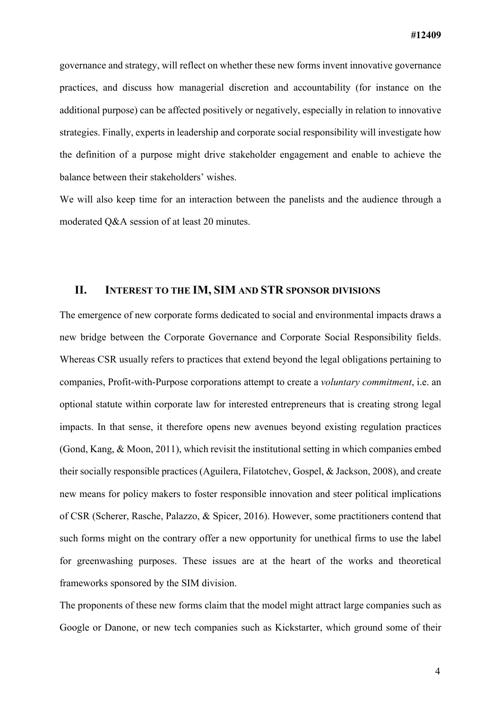governance and strategy, will reflect on whether these new forms invent innovative governance practices, and discuss how managerial discretion and accountability (for instance on the additional purpose) can be affected positively or negatively, especially in relation to innovative strategies. Finally, experts in leadership and corporate social responsibility will investigate how the definition of a purpose might drive stakeholder engagement and enable to achieve the balance between their stakeholders' wishes.

We will also keep time for an interaction between the panelists and the audience through a moderated Q&A session of at least 20 minutes.

#### **II. INTEREST TO THE IM, SIM AND STR SPONSOR DIVISIONS**

The emergence of new corporate forms dedicated to social and environmental impacts draws a new bridge between the Corporate Governance and Corporate Social Responsibility fields. Whereas CSR usually refers to practices that extend beyond the legal obligations pertaining to companies, Profit-with-Purpose corporations attempt to create a *voluntary commitment*, i.e. an optional statute within corporate law for interested entrepreneurs that is creating strong legal impacts. In that sense, it therefore opens new avenues beyond existing regulation practices (Gond, Kang, & Moon, 2011), which revisit the institutional setting in which companies embed their socially responsible practices (Aguilera, Filatotchev, Gospel, & Jackson, 2008), and create new means for policy makers to foster responsible innovation and steer political implications of CSR (Scherer, Rasche, Palazzo, & Spicer, 2016). However, some practitioners contend that such forms might on the contrary offer a new opportunity for unethical firms to use the label for greenwashing purposes. These issues are at the heart of the works and theoretical frameworks sponsored by the SIM division.

The proponents of these new forms claim that the model might attract large companies such as Google or Danone, or new tech companies such as Kickstarter, which ground some of their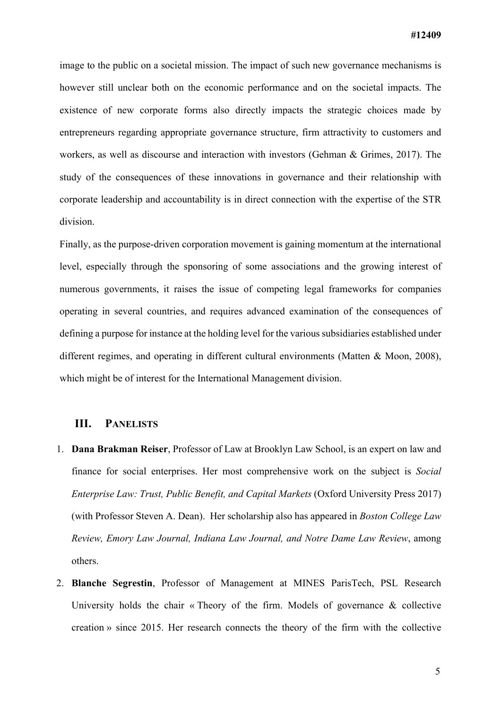image to the public on a societal mission. The impact of such new governance mechanisms is however still unclear both on the economic performance and on the societal impacts. The existence of new corporate forms also directly impacts the strategic choices made by entrepreneurs regarding appropriate governance structure, firm attractivity to customers and workers, as well as discourse and interaction with investors (Gehman & Grimes, 2017). The study of the consequences of these innovations in governance and their relationship with corporate leadership and accountability is in direct connection with the expertise of the STR division.

Finally, as the purpose-driven corporation movement is gaining momentum at the international level, especially through the sponsoring of some associations and the growing interest of numerous governments, it raises the issue of competing legal frameworks for companies operating in several countries, and requires advanced examination of the consequences of defining a purpose for instance at the holding level for the various subsidiaries established under different regimes, and operating in different cultural environments (Matten & Moon, 2008), which might be of interest for the International Management division.

#### **III. PANELISTS**

- 1. **Dana Brakman Reiser**, Professor of Law at Brooklyn Law School, is an expert on law and finance for social enterprises. Her most comprehensive work on the subject is *Social Enterprise Law: Trust, Public Benefit, and Capital Markets* (Oxford University Press 2017) (with Professor Steven A. Dean). Her scholarship also has appeared in *Boston College Law Review, Emory Law Journal, Indiana Law Journal, and Notre Dame Law Review*, among others.
- 2. **Blanche Segrestin**, Professor of Management at MINES ParisTech, PSL Research University holds the chair « Theory of the firm. Models of governance  $\&$  collective creation » since 2015. Her research connects the theory of the firm with the collective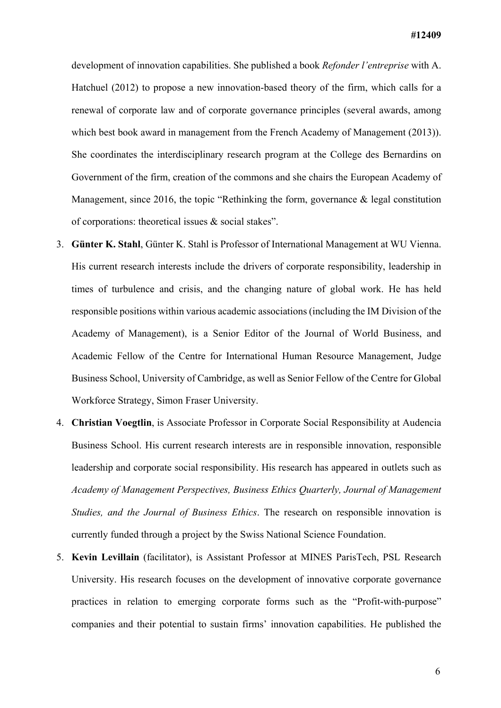development of innovation capabilities. She published a book *Refonder l'entreprise* with A. Hatchuel (2012) to propose a new innovation-based theory of the firm, which calls for a renewal of corporate law and of corporate governance principles (several awards, among which best book award in management from the French Academy of Management (2013)). She coordinates the interdisciplinary research program at the College des Bernardins on Government of the firm, creation of the commons and she chairs the European Academy of Management, since 2016, the topic "Rethinking the form, governance & legal constitution of corporations: theoretical issues & social stakes".

- 3. **Günter K. Stahl**, Günter K. Stahl is Professor of International Management at WU Vienna. His current research interests include the drivers of corporate responsibility, leadership in times of turbulence and crisis, and the changing nature of global work. He has held responsible positions within various academic associations (including the IM Division of the Academy of Management), is a Senior Editor of the Journal of World Business, and Academic Fellow of the Centre for International Human Resource Management, Judge Business School, University of Cambridge, as well as Senior Fellow of the Centre for Global Workforce Strategy, Simon Fraser University.
- 4. **Christian Voegtlin**, is Associate Professor in Corporate Social Responsibility at Audencia Business School. His current research interests are in responsible innovation, responsible leadership and corporate social responsibility. His research has appeared in outlets such as *Academy of Management Perspectives, Business Ethics Quarterly, Journal of Management Studies, and the Journal of Business Ethics*. The research on responsible innovation is currently funded through a project by the Swiss National Science Foundation.
- 5. **Kevin Levillain** (facilitator), is Assistant Professor at MINES ParisTech, PSL Research University. His research focuses on the development of innovative corporate governance practices in relation to emerging corporate forms such as the "Profit-with-purpose" companies and their potential to sustain firms' innovation capabilities. He published the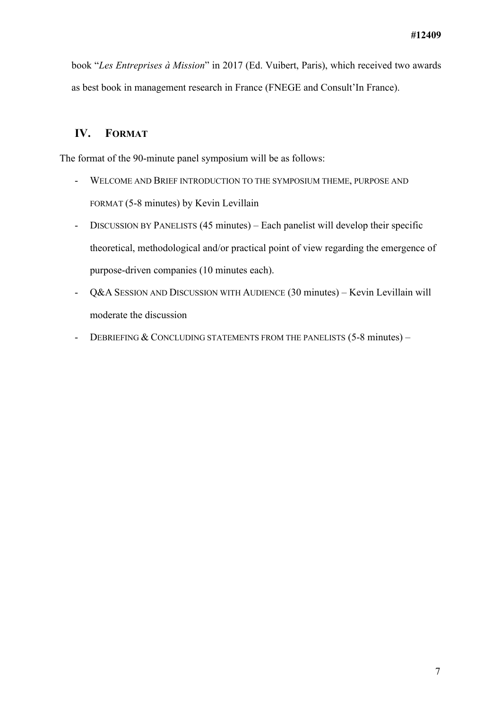book "*Les Entreprises à Mission*" in 2017 (Ed. Vuibert, Paris), which received two awards as best book in management research in France (FNEGE and Consult'In France).

### **IV. FORMAT**

The format of the 90-minute panel symposium will be as follows:

- WELCOME AND BRIEF INTRODUCTION TO THE SYMPOSIUM THEME, PURPOSE AND FORMAT (5-8 minutes) by Kevin Levillain
- DISCUSSION BY PANELISTS (45 minutes) Each panelist will develop their specific theoretical, methodological and/or practical point of view regarding the emergence of purpose-driven companies (10 minutes each).
- Q&A SESSION AND DISCUSSION WITH AUDIENCE (30 minutes) Kevin Levillain will moderate the discussion
- DEBRIEFING & CONCLUDING STATEMENTS FROM THE PANELISTS (5-8 minutes) -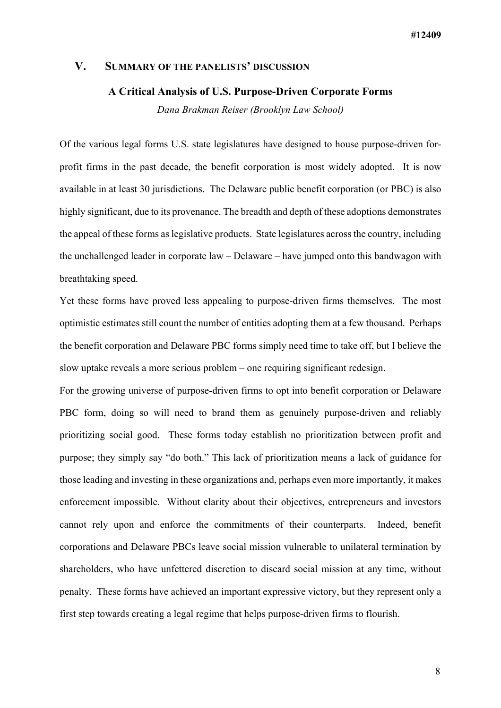#### **V. SUMMARY OF THE PANELISTS' DISCUSSION**

#### **A Critical Analysis of U.S. Purpose-Driven Corporate Forms**

*Dana Brakman Reiser (Brooklyn Law School)*

Of the various legal forms U.S. state legislatures have designed to house purpose-driven forprofit firms in the past decade, the benefit corporation is most widely adopted. It is now available in at least 30 jurisdictions. The Delaware public benefit corporation (or PBC) is also highly significant, due to its provenance. The breadth and depth of these adoptions demonstrates the appeal of these forms as legislative products. State legislatures across the country, including the unchallenged leader in corporate law – Delaware – have jumped onto this bandwagon with breathtaking speed.

Yet these forms have proved less appealing to purpose-driven firms themselves. The most optimistic estimates still count the number of entities adopting them at a few thousand. Perhaps the benefit corporation and Delaware PBC forms simply need time to take off, but I believe the slow uptake reveals a more serious problem – one requiring significant redesign.

For the growing universe of purpose-driven firms to opt into benefit corporation or Delaware PBC form, doing so will need to brand them as genuinely purpose-driven and reliably prioritizing social good. These forms today establish no prioritization between profit and purpose; they simply say "do both." This lack of prioritization means a lack of guidance for those leading and investing in these organizations and, perhaps even more importantly, it makes enforcement impossible. Without clarity about their objectives, entrepreneurs and investors cannot rely upon and enforce the commitments of their counterparts. Indeed, benefit corporations and Delaware PBCs leave social mission vulnerable to unilateral termination by shareholders, who have unfettered discretion to discard social mission at any time, without penalty. These forms have achieved an important expressive victory, but they represent only a first step towards creating a legal regime that helps purpose-driven firms to flourish.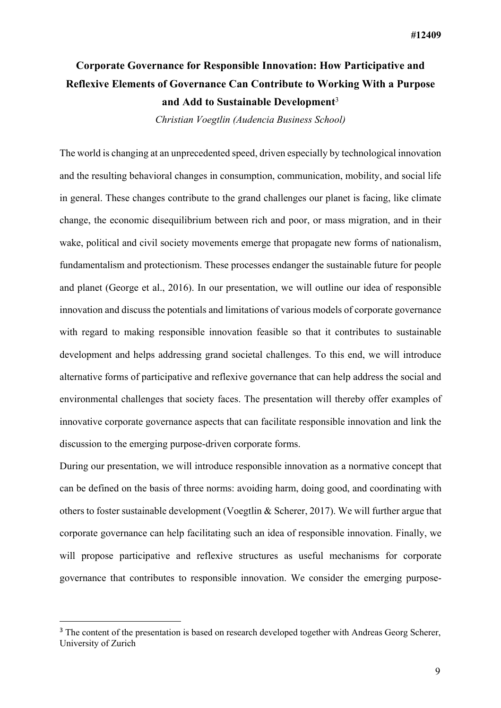## **Corporate Governance for Responsible Innovation: How Participative and Reflexive Elements of Governance Can Contribute to Working With a Purpose and Add to Sustainable Development**<sup>3</sup>

*Christian Voegtlin (Audencia Business School)*

The world is changing at an unprecedented speed, driven especially by technological innovation and the resulting behavioral changes in consumption, communication, mobility, and social life in general. These changes contribute to the grand challenges our planet is facing, like climate change, the economic disequilibrium between rich and poor, or mass migration, and in their wake, political and civil society movements emerge that propagate new forms of nationalism, fundamentalism and protectionism. These processes endanger the sustainable future for people and planet (George et al., 2016). In our presentation, we will outline our idea of responsible innovation and discuss the potentials and limitations of various models of corporate governance with regard to making responsible innovation feasible so that it contributes to sustainable development and helps addressing grand societal challenges. To this end, we will introduce alternative forms of participative and reflexive governance that can help address the social and environmental challenges that society faces. The presentation will thereby offer examples of innovative corporate governance aspects that can facilitate responsible innovation and link the discussion to the emerging purpose-driven corporate forms.

During our presentation, we will introduce responsible innovation as a normative concept that can be defined on the basis of three norms: avoiding harm, doing good, and coordinating with others to foster sustainable development (Voegtlin & Scherer, 2017). We will further argue that corporate governance can help facilitating such an idea of responsible innovation. Finally, we will propose participative and reflexive structures as useful mechanisms for corporate governance that contributes to responsible innovation. We consider the emerging purpose-

 $\overline{a}$ 

<sup>&</sup>lt;sup>3</sup> The content of the presentation is based on research developed together with Andreas Georg Scherer, University of Zurich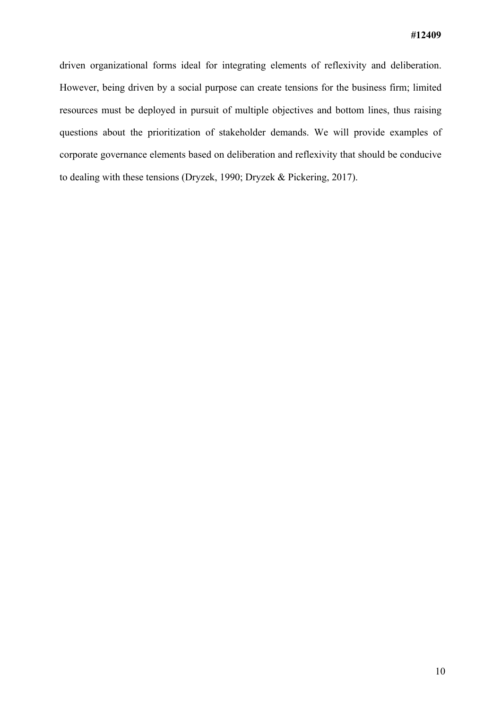driven organizational forms ideal for integrating elements of reflexivity and deliberation. However, being driven by a social purpose can create tensions for the business firm; limited resources must be deployed in pursuit of multiple objectives and bottom lines, thus raising questions about the prioritization of stakeholder demands. We will provide examples of corporate governance elements based on deliberation and reflexivity that should be conducive to dealing with these tensions (Dryzek, 1990; Dryzek & Pickering, 2017).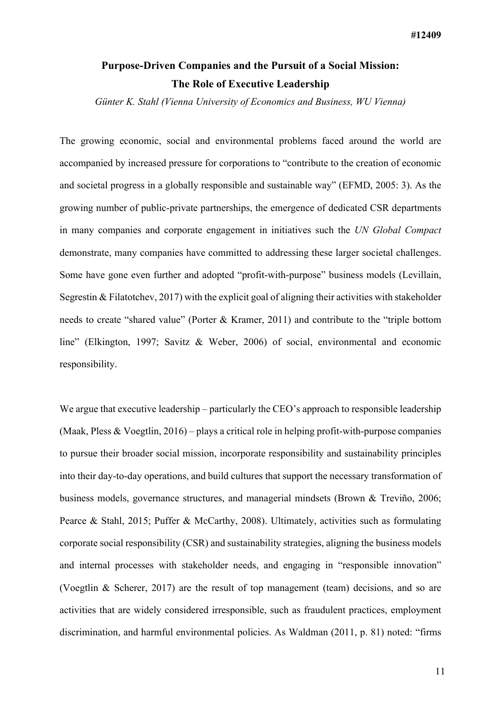## **Purpose-Driven Companies and the Pursuit of a Social Mission: The Role of Executive Leadership**

*Günter K. Stahl (Vienna University of Economics and Business, WU Vienna)*

The growing economic, social and environmental problems faced around the world are accompanied by increased pressure for corporations to "contribute to the creation of economic and societal progress in a globally responsible and sustainable way" (EFMD, 2005: 3). As the growing number of public-private partnerships, the emergence of dedicated CSR departments in many companies and corporate engagement in initiatives such the *UN Global Compact* demonstrate, many companies have committed to addressing these larger societal challenges. Some have gone even further and adopted "profit-with-purpose" business models (Levillain, Segrestin & Filatotchev, 2017) with the explicit goal of aligning their activities with stakeholder needs to create "shared value" (Porter & Kramer, 2011) and contribute to the "triple bottom line" (Elkington, 1997; Savitz & Weber, 2006) of social, environmental and economic responsibility.

We argue that executive leadership – particularly the CEO's approach to responsible leadership (Maak, Pless  $& Voegtlin, 2016) - plays a critical role in helping profit-with-purpose companies$ to pursue their broader social mission, incorporate responsibility and sustainability principles into their day-to-day operations, and build cultures that support the necessary transformation of business models, governance structures, and managerial mindsets (Brown & Treviño, 2006; Pearce & Stahl, 2015; Puffer & McCarthy, 2008). Ultimately, activities such as formulating corporate social responsibility (CSR) and sustainability strategies, aligning the business models and internal processes with stakeholder needs, and engaging in "responsible innovation" (Voegtlin & Scherer, 2017) are the result of top management (team) decisions, and so are activities that are widely considered irresponsible, such as fraudulent practices, employment discrimination, and harmful environmental policies. As Waldman (2011, p. 81) noted: "firms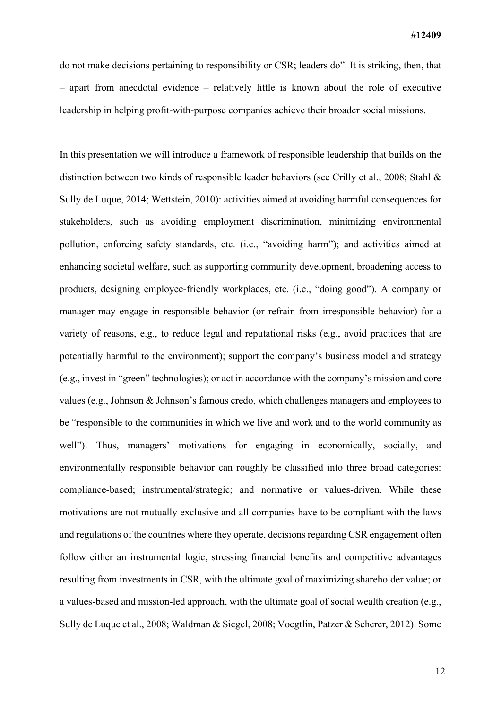do not make decisions pertaining to responsibility or CSR; leaders do". It is striking, then, that – apart from anecdotal evidence – relatively little is known about the role of executive leadership in helping profit-with-purpose companies achieve their broader social missions.

In this presentation we will introduce a framework of responsible leadership that builds on the distinction between two kinds of responsible leader behaviors (see Crilly et al., 2008; Stahl & Sully de Luque, 2014; Wettstein, 2010): activities aimed at avoiding harmful consequences for stakeholders, such as avoiding employment discrimination, minimizing environmental pollution, enforcing safety standards, etc. (i.e., "avoiding harm"); and activities aimed at enhancing societal welfare, such as supporting community development, broadening access to products, designing employee-friendly workplaces, etc. (i.e., "doing good"). A company or manager may engage in responsible behavior (or refrain from irresponsible behavior) for a variety of reasons, e.g., to reduce legal and reputational risks (e.g., avoid practices that are potentially harmful to the environment); support the company's business model and strategy (e.g., invest in "green" technologies); or act in accordance with the company's mission and core values (e.g., Johnson & Johnson's famous credo, which challenges managers and employees to be "responsible to the communities in which we live and work and to the world community as well"). Thus, managers' motivations for engaging in economically, socially, and environmentally responsible behavior can roughly be classified into three broad categories: compliance-based; instrumental/strategic; and normative or values-driven. While these motivations are not mutually exclusive and all companies have to be compliant with the laws and regulations of the countries where they operate, decisions regarding CSR engagement often follow either an instrumental logic, stressing financial benefits and competitive advantages resulting from investments in CSR, with the ultimate goal of maximizing shareholder value; or a values-based and mission-led approach, with the ultimate goal of social wealth creation (e.g., Sully de Luque et al., 2008; Waldman & Siegel, 2008; Voegtlin, Patzer & Scherer, 2012). Some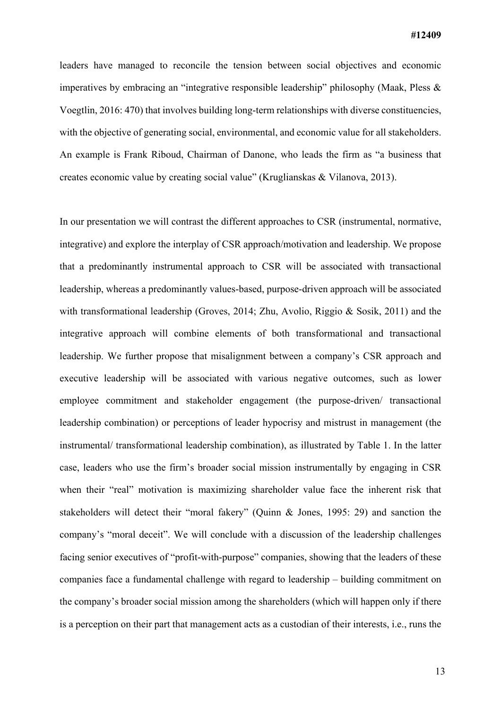leaders have managed to reconcile the tension between social objectives and economic imperatives by embracing an "integrative responsible leadership" philosophy (Maak, Pless & Voegtlin, 2016: 470) that involves building long-term relationships with diverse constituencies, with the objective of generating social, environmental, and economic value for all stakeholders. An example is Frank Riboud, Chairman of Danone, who leads the firm as "a business that creates economic value by creating social value" (Kruglianskas & Vilanova, 2013).

In our presentation we will contrast the different approaches to CSR (instrumental, normative, integrative) and explore the interplay of CSR approach/motivation and leadership. We propose that a predominantly instrumental approach to CSR will be associated with transactional leadership, whereas a predominantly values-based, purpose-driven approach will be associated with transformational leadership (Groves, 2014; Zhu, Avolio, Riggio & Sosik, 2011) and the integrative approach will combine elements of both transformational and transactional leadership. We further propose that misalignment between a company's CSR approach and executive leadership will be associated with various negative outcomes, such as lower employee commitment and stakeholder engagement (the purpose-driven/ transactional leadership combination) or perceptions of leader hypocrisy and mistrust in management (the instrumental/ transformational leadership combination), as illustrated by Table 1. In the latter case, leaders who use the firm's broader social mission instrumentally by engaging in CSR when their "real" motivation is maximizing shareholder value face the inherent risk that stakeholders will detect their "moral fakery" (Quinn & Jones, 1995: 29) and sanction the company's "moral deceit". We will conclude with a discussion of the leadership challenges facing senior executives of "profit-with-purpose" companies, showing that the leaders of these companies face a fundamental challenge with regard to leadership – building commitment on the company's broader social mission among the shareholders (which will happen only if there is a perception on their part that management acts as a custodian of their interests, i.e., runs the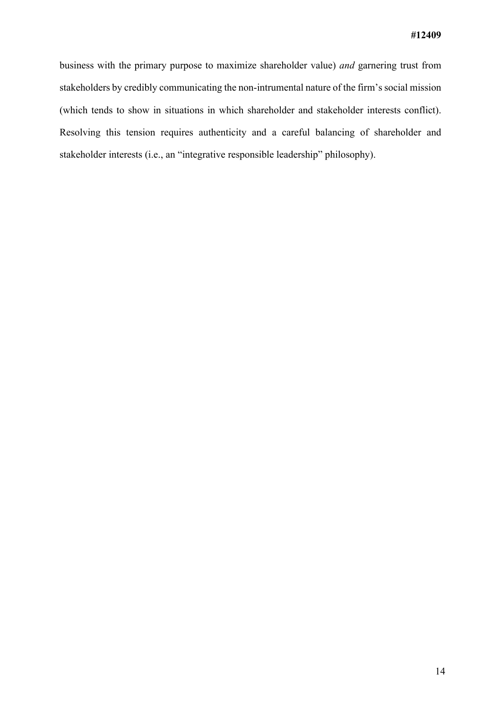business with the primary purpose to maximize shareholder value) *and* garnering trust from stakeholders by credibly communicating the non-intrumental nature of the firm's social mission (which tends to show in situations in which shareholder and stakeholder interests conflict). Resolving this tension requires authenticity and a careful balancing of shareholder and stakeholder interests (i.e., an "integrative responsible leadership" philosophy).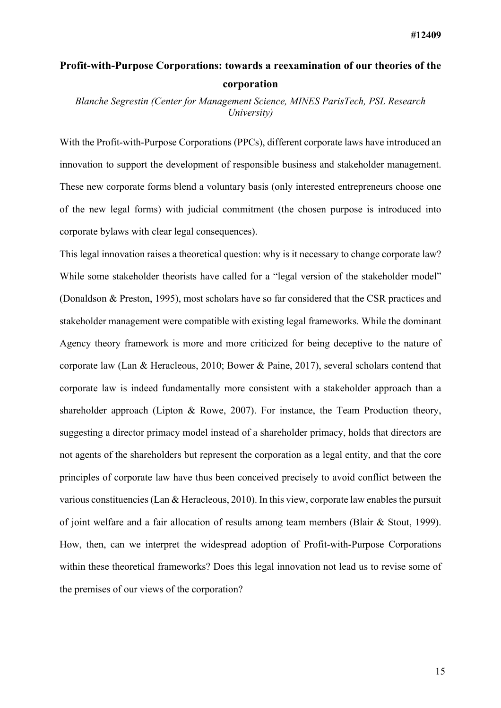## **Profit-with-Purpose Corporations: towards a reexamination of our theories of the corporation**

*Blanche Segrestin (Center for Management Science, MINES ParisTech, PSL Research University)*

With the Profit-with-Purpose Corporations (PPCs), different corporate laws have introduced an innovation to support the development of responsible business and stakeholder management. These new corporate forms blend a voluntary basis (only interested entrepreneurs choose one of the new legal forms) with judicial commitment (the chosen purpose is introduced into corporate bylaws with clear legal consequences).

This legal innovation raises a theoretical question: why is it necessary to change corporate law? While some stakeholder theorists have called for a "legal version of the stakeholder model" (Donaldson & Preston, 1995), most scholars have so far considered that the CSR practices and stakeholder management were compatible with existing legal frameworks. While the dominant Agency theory framework is more and more criticized for being deceptive to the nature of corporate law (Lan & Heracleous, 2010; Bower & Paine, 2017), several scholars contend that corporate law is indeed fundamentally more consistent with a stakeholder approach than a shareholder approach (Lipton & Rowe, 2007). For instance, the Team Production theory, suggesting a director primacy model instead of a shareholder primacy, holds that directors are not agents of the shareholders but represent the corporation as a legal entity, and that the core principles of corporate law have thus been conceived precisely to avoid conflict between the various constituencies (Lan & Heracleous, 2010). In this view, corporate law enables the pursuit of joint welfare and a fair allocation of results among team members (Blair & Stout, 1999). How, then, can we interpret the widespread adoption of Profit-with-Purpose Corporations within these theoretical frameworks? Does this legal innovation not lead us to revise some of the premises of our views of the corporation?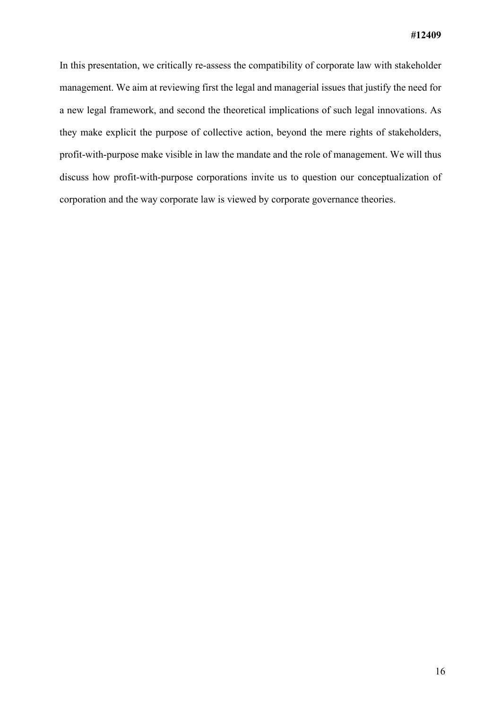In this presentation, we critically re-assess the compatibility of corporate law with stakeholder management. We aim at reviewing first the legal and managerial issues that justify the need for a new legal framework, and second the theoretical implications of such legal innovations. As they make explicit the purpose of collective action, beyond the mere rights of stakeholders, profit-with-purpose make visible in law the mandate and the role of management. We will thus discuss how profit-with-purpose corporations invite us to question our conceptualization of corporation and the way corporate law is viewed by corporate governance theories.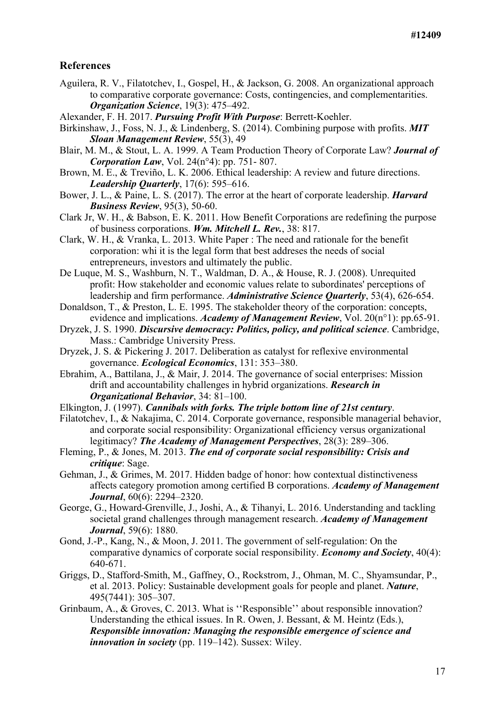#### **References**

- Aguilera, R. V., Filatotchev, I., Gospel, H., & Jackson, G. 2008. An organizational approach to comparative corporate governance: Costs, contingencies, and complementarities. *Organization Science*, 19(3): 475–492.
- Alexander, F. H. 2017. *Pursuing Profit With Purpose*: Berrett-Koehler.
- Birkinshaw, J., Foss, N. J., & Lindenberg, S. (2014). Combining purpose with profits. *MIT Sloan Management Review*, 55(3), 49
- Blair, M. M., & Stout, L. A. 1999. A Team Production Theory of Corporate Law? *Journal of Corporation Law*, Vol. 24(n°4): pp. 751- 807.
- Brown, M. E., & Treviño, L. K. 2006. Ethical leadership: A review and future directions. *Leadership Quarterly*, 17(6): 595–616.
- Bower, J. L., & Paine, L. S. (2017). The error at the heart of corporate leadership. *Harvard Business Review*, 95(3), 50-60.
- Clark Jr, W. H., & Babson, E. K. 2011. How Benefit Corporations are redefining the purpose of business corporations. *Wm. Mitchell L. Rev.*, 38: 817.
- Clark, W. H., & Vranka, L. 2013. White Paper : The need and rationale for the benefit corporation: whi it is the legal form that best addreses the needs of social entrepreneurs, investors and ultimately the public.
- De Luque, M. S., Washburn, N. T., Waldman, D. A., & House, R. J. (2008). Unrequited profit: How stakeholder and economic values relate to subordinates' perceptions of leadership and firm performance. *Administrative Science Quarterly*, 53(4), 626-654.
- Donaldson, T., & Preston, L. E. 1995. The stakeholder theory of the corporation: concepts, evidence and implications. *Academy of Management Review*, Vol. 20(n°1): pp.65-91.
- Dryzek, J. S. 1990. *Discursive democracy: Politics, policy, and political science*. Cambridge, Mass.: Cambridge University Press.
- Dryzek, J. S. & Pickering J. 2017. Deliberation as catalyst for reflexive environmental governance. *Ecological Economics*, 131: 353–380.
- Ebrahim, A., Battilana, J., & Mair, J. 2014. The governance of social enterprises: Mission drift and accountability challenges in hybrid organizations. *Research in Organizational Behavior*, 34: 81–100.
- Elkington, J. (1997). *Cannibals with forks. The triple bottom line of 21st century*.
- Filatotchev, I., & Nakajima, C. 2014. Corporate governance, responsible managerial behavior, and corporate social responsibility: Organizational efficiency versus organizational legitimacy? *The Academy of Management Perspectives*, 28(3): 289–306.
- Fleming, P., & Jones, M. 2013. *The end of corporate social responsibility: Crisis and critique*: Sage.
- Gehman, J., & Grimes, M. 2017. Hidden badge of honor: how contextual distinctiveness affects category promotion among certified B corporations. *Academy of Management Journal*, 60(6): 2294–2320.
- George, G., Howard-Grenville, J., Joshi, A., & Tihanyi, L. 2016. Understanding and tackling societal grand challenges through management research. *Academy of Management Journal*, 59(6): 1880.
- Gond, J.-P., Kang, N., & Moon, J. 2011. The government of self-regulation: On the comparative dynamics of corporate social responsibility. *Economy and Society*, 40(4): 640-671.
- Griggs, D., Stafford-Smith, M., Gaffney, O., Rockstrom, J., Ohman, M. C., Shyamsundar, P., et al. 2013. Policy: Sustainable development goals for people and planet. *Nature*, 495(7441): 305–307.
- Grinbaum, A., & Groves, C. 2013. What is ''Responsible'' about responsible innovation? Understanding the ethical issues. In R. Owen, J. Bessant, & M. Heintz (Eds.), *Responsible innovation: Managing the responsible emergence of science and innovation in society* (pp. 119–142). Sussex: Wiley.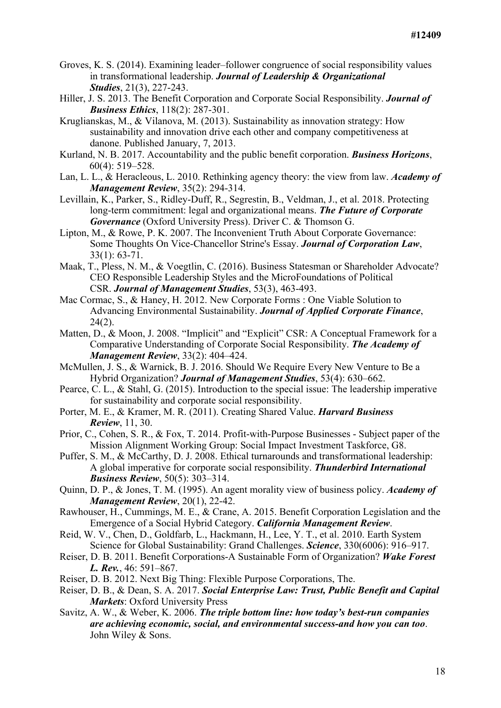- Groves, K. S. (2014). Examining leader–follower congruence of social responsibility values in transformational leadership. *Journal of Leadership & Organizational Studies*, 21(3), 227-243.
- Hiller, J. S. 2013. The Benefit Corporation and Corporate Social Responsibility. *Journal of Business Ethics*, 118(2): 287-301.
- Kruglianskas, M., & Vilanova, M. (2013). Sustainability as innovation strategy: How sustainability and innovation drive each other and company competitiveness at danone. Published January, 7, 2013.
- Kurland, N. B. 2017. Accountability and the public benefit corporation. *Business Horizons*, 60(4): 519–528.
- Lan, L. L., & Heracleous, L. 2010. Rethinking agency theory: the view from law. *Academy of Management Review*, 35(2): 294-314.
- Levillain, K., Parker, S., Ridley-Duff, R., Segrestin, B., Veldman, J., et al. 2018. Protecting long-term commitment: legal and organizational means. *The Future of Corporate Governance* (Oxford University Press). Driver C. & Thomson G.
- Lipton, M., & Rowe, P. K. 2007. The Inconvenient Truth About Corporate Governance: Some Thoughts On Vice-Chancellor Strine's Essay. *Journal of Corporation Law*, 33(1): 63-71.
- Maak, T., Pless, N. M., & Voegtlin, C. (2016). Business Statesman or Shareholder Advocate? CEO Responsible Leadership Styles and the MicroFoundations of Political CSR. *Journal of Management Studies*, 53(3), 463-493.
- Mac Cormac, S., & Haney, H. 2012. New Corporate Forms : One Viable Solution to Advancing Environmental Sustainability. *Journal of Applied Corporate Finance*,  $24(2)$ .
- Matten, D., & Moon, J. 2008. "Implicit" and "Explicit" CSR: A Conceptual Framework for a Comparative Understanding of Corporate Social Responsibility. *The Academy of Management Review*, 33(2): 404–424.
- McMullen, J. S., & Warnick, B. J. 2016. Should We Require Every New Venture to Be a Hybrid Organization? *Journal of Management Studies*, 53(4): 630–662.
- Pearce, C. L., & Stahl, G. (2015). Introduction to the special issue: The leadership imperative for sustainability and corporate social responsibility.
- Porter, M. E., & Kramer, M. R. (2011). Creating Shared Value. *Harvard Business Review*, 11, 30.
- Prior, C., Cohen, S. R., & Fox, T. 2014. Profit-with-Purpose Businesses Subject paper of the Mission Alignment Working Group: Social Impact Investment Taskforce, G8.
- Puffer, S. M., & McCarthy, D. J. 2008. Ethical turnarounds and transformational leadership: A global imperative for corporate social responsibility. *Thunderbird International Business Review*, 50(5): 303–314.
- Quinn, D. P., & Jones, T. M. (1995). An agent morality view of business policy. *Academy of Management Review*, 20(1), 22-42.
- Rawhouser, H., Cummings, M. E., & Crane, A. 2015. Benefit Corporation Legislation and the Emergence of a Social Hybrid Category. *California Management Review*.
- Reid, W. V., Chen, D., Goldfarb, L., Hackmann, H., Lee, Y. T., et al. 2010. Earth System Science for Global Sustainability: Grand Challenges. *Science*, 330(6006): 916–917.
- Reiser, D. B. 2011. Benefit Corporations-A Sustainable Form of Organization? *Wake Forest L. Rev.*, 46: 591–867.
- Reiser, D. B. 2012. Next Big Thing: Flexible Purpose Corporations, The.
- Reiser, D. B., & Dean, S. A. 2017. *Social Enterprise Law: Trust, Public Benefit and Capital Markets*: Oxford University Press
- Savitz, A. W., & Weber, K. 2006. *The triple bottom line: how today's best-run companies are achieving economic, social, and environmental success-and how you can too*. John Wiley & Sons.